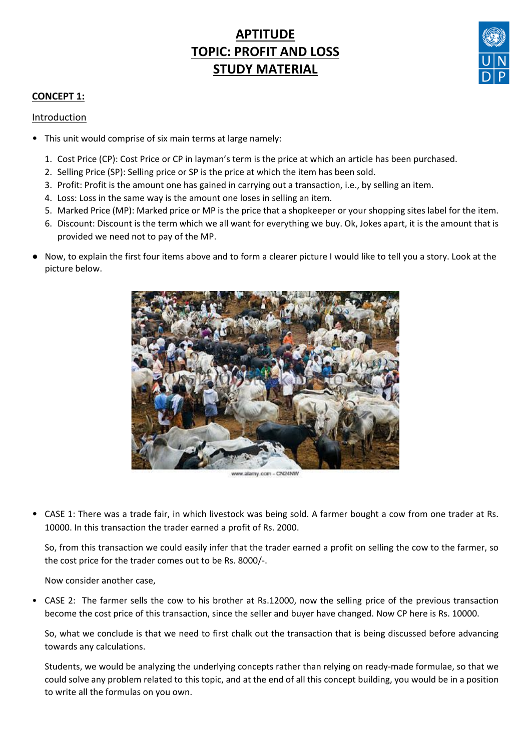# **APTITUDE TOPIC: PROFIT AND LOSS STUDY MATERIAL**



### **CONCEPT 1:**

#### Introduction

- This unit would comprise of six main terms at large namely:
	- 1. Cost Price (CP): Cost Price or CP in layman's term is the price at which an article has been purchased.
	- 2. Selling Price (SP): Selling price or SP is the price at which the item has been sold.
	- 3. Profit: Profit is the amount one has gained in carrying out a transaction, i.e., by selling an item.
	- 4. Loss: Loss in the same way is the amount one loses in selling an item.
	- 5. Marked Price (MP): Marked price or MP is the price that a shopkeeper or your shopping sites label for the item.
	- 6. Discount: Discount is the term which we all want for everything we buy. Ok, Jokes apart, it is the amount that is provided we need not to pay of the MP.
- Now, to explain the first four items above and to form a clearer picture I would like to tell you a story. Look at the picture below.



w.alamy.com - CN24NW

• CASE 1: There was a trade fair, in which livestock was being sold. A farmer bought a cow from one trader at Rs. 10000. In this transaction the trader earned a profit of Rs. 2000.

So, from this transaction we could easily infer that the trader earned a profit on selling the cow to the farmer, so the cost price for the trader comes out to be Rs. 8000/-.

Now consider another case,

• CASE 2: The farmer sells the cow to his brother at Rs.12000, now the selling price of the previous transaction become the cost price of this transaction, since the seller and buyer have changed. Now CP here is Rs. 10000.

So, what we conclude is that we need to first chalk out the transaction that is being discussed before advancing towards any calculations.

Students, we would be analyzing the underlying concepts rather than relying on ready-made formulae, so that we could solve any problem related to this topic, and at the end of all this concept building, you would be in a position to write all the formulas on you own.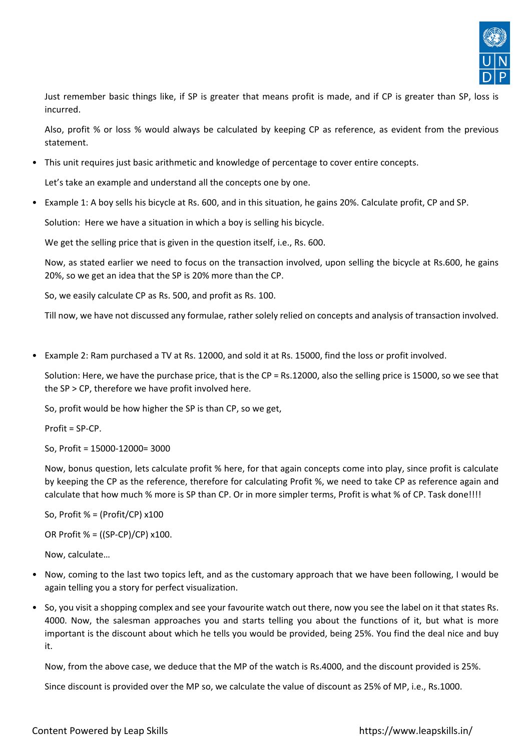

Just remember basic things like, if SP is greater that means profit is made, and if CP is greater than SP, loss is incurred.

Also, profit % or loss % would always be calculated by keeping CP as reference, as evident from the previous statement.

• This unit requires just basic arithmetic and knowledge of percentage to cover entire concepts.

Let's take an example and understand all the concepts one by one.

• Example 1: A boy sells his bicycle at Rs. 600, and in this situation, he gains 20%. Calculate profit, CP and SP.

Solution: Here we have a situation in which a boy is selling his bicycle.

We get the selling price that is given in the question itself, i.e., Rs. 600.

Now, as stated earlier we need to focus on the transaction involved, upon selling the bicycle at Rs.600, he gains 20%, so we get an idea that the SP is 20% more than the CP.

So, we easily calculate CP as Rs. 500, and profit as Rs. 100.

Till now, we have not discussed any formulae, rather solely relied on concepts and analysis of transaction involved.

• Example 2: Ram purchased a TV at Rs. 12000, and sold it at Rs. 15000, find the loss or profit involved.

Solution: Here, we have the purchase price, that is the CP = Rs.12000, also the selling price is 15000, so we see that the SP > CP, therefore we have profit involved here.

So, profit would be how higher the SP is than CP, so we get,

Profit = SP-CP.

So, Profit = 15000-12000= 3000

Now, bonus question, lets calculate profit % here, for that again concepts come into play, since profit is calculate by keeping the CP as the reference, therefore for calculating Profit %, we need to take CP as reference again and calculate that how much % more is SP than CP. Or in more simpler terms, Profit is what % of CP. Task done!!!!

So, Profit % = (Profit/CP) x100

OR Profit % = ((SP-CP)/CP) x100.

Now, calculate…

- Now, coming to the last two topics left, and as the customary approach that we have been following, I would be again telling you a story for perfect visualization.
- So, you visit a shopping complex and see your favourite watch out there, now you see the label on it that states Rs. 4000. Now, the salesman approaches you and starts telling you about the functions of it, but what is more important is the discount about which he tells you would be provided, being 25%. You find the deal nice and buy it.

Now, from the above case, we deduce that the MP of the watch is Rs.4000, and the discount provided is 25%.

Since discount is provided over the MP so, we calculate the value of discount as 25% of MP, i.e., Rs.1000.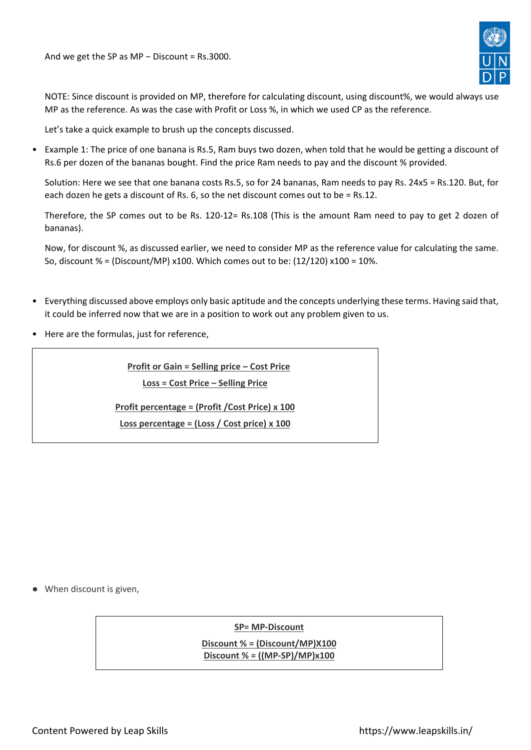

NOTE: Since discount is provided on MP, therefore for calculating discount, using discount%, we would always use MP as the reference. As was the case with Profit or Loss %, in which we used CP as the reference.

Let's take a quick example to brush up the concepts discussed.

• Example 1: The price of one banana is Rs.5, Ram buys two dozen, when told that he would be getting a discount of Rs.6 per dozen of the bananas bought. Find the price Ram needs to pay and the discount % provided.

Solution: Here we see that one banana costs Rs.5, so for 24 bananas, Ram needs to pay Rs. 24x5 = Rs.120. But, for each dozen he gets a discount of Rs. 6, so the net discount comes out to be = Rs.12.

Therefore, the SP comes out to be Rs. 120-12= Rs.108 (This is the amount Ram need to pay to get 2 dozen of bananas).

Now, for discount %, as discussed earlier, we need to consider MP as the reference value for calculating the same. So, discount % = (Discount/MP) x100. Which comes out to be: (12/120) x100 = 10%.

- Everything discussed above employs only basic aptitude and the concepts underlying these terms. Having said that, it could be inferred now that we are in a position to work out any problem given to us.
- Here are the formulas, just for reference,

**Profit or Gain = Selling price – Cost Price**

**Loss = Cost Price – Selling Price**

**Profit percentage = (Profit /Cost Price) x 100 Loss percentage = (Loss / Cost price) x 100**

● When discount is given,

**SP= MP-Discount**

**Discount % = (Discount/MP)X100 Discount % = ((MP-SP)/MP)x100**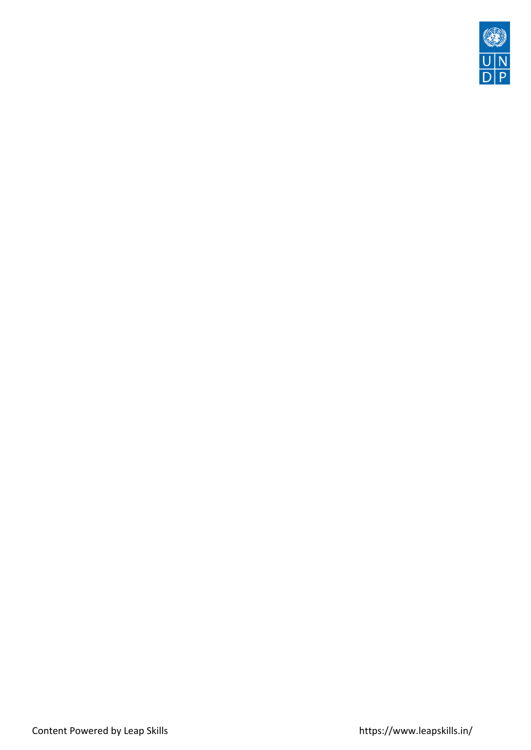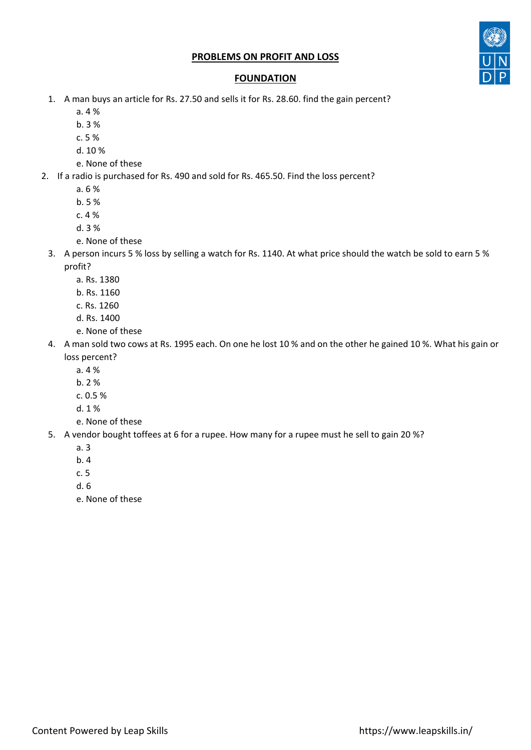### **PROBLEMS ON PROFIT AND LOSS**

#### **FOUNDATION**

- 1. A man buys an article for Rs. 27.50 and sells it for Rs. 28.60. find the gain percent?
	- a. 4 %
	- b. 3 %
	- c. 5 %
	- d. 10 %
	- e. None of these
- 2. If a radio is purchased for Rs. 490 and sold for Rs. 465.50. Find the loss percent?
	- a. 6 %
	- b. 5 %
	- c. 4 %
	- d. 3 %
	- e. None of these
	- 3. A person incurs 5 % loss by selling a watch for Rs. 1140. At what price should the watch be sold to earn 5 % profit?
		- a. Rs. 1380
		- b. Rs. 1160
		- c. Rs. 1260
		- d. Rs. 1400
		- e. None of these
	- 4. A man sold two cows at Rs. 1995 each. On one he lost 10 % and on the other he gained 10 %. What his gain or loss percent?
		- a. 4 %
		- b. 2 %
		- c. 0.5 %
		- d. 1 %
		- e. None of these
	- 5. A vendor bought toffees at 6 for a rupee. How many for a rupee must he sell to gain 20 %?
		- a. 3
		- b. 4
		- c. 5
		- d. 6
		- e. None of these

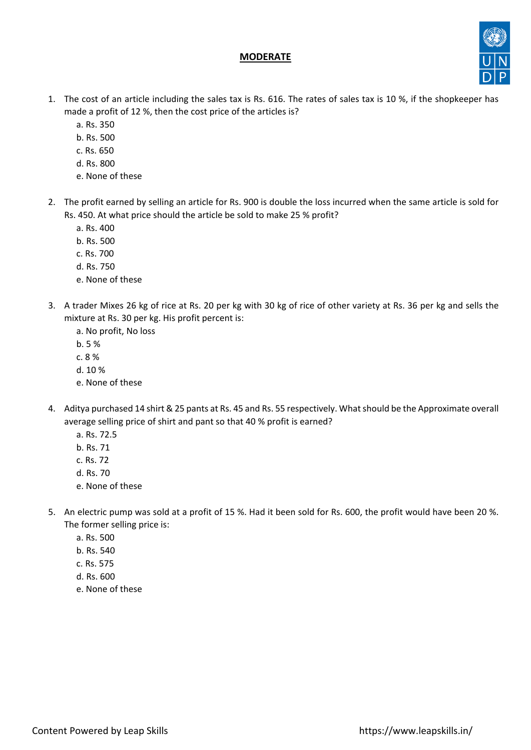#### **MODERATE**



- 1. The cost of an article including the sales tax is Rs. 616. The rates of sales tax is 10 %, if the shopkeeper has made a profit of 12 %, then the cost price of the articles is?
	- a. Rs. 350
	- b. Rs. 500
	- c. Rs. 650
	- d. Rs. 800
	- e. None of these
- 2. The profit earned by selling an article for Rs. 900 is double the loss incurred when the same article is sold for Rs. 450. At what price should the article be sold to make 25 % profit?
	- a. Rs. 400
	- b. Rs. 500
	- c. Rs. 700
	- d. Rs. 750
	- e. None of these
- 3. A trader Mixes 26 kg of rice at Rs. 20 per kg with 30 kg of rice of other variety at Rs. 36 per kg and sells the mixture at Rs. 30 per kg. His profit percent is:
	- a. No profit, No loss
	- b. 5 %
	- c. 8 %
	- d. 10 %
	- e. None of these
- 4. Aditya purchased 14 shirt & 25 pants at Rs. 45 and Rs. 55 respectively. What should be the Approximate overall average selling price of shirt and pant so that 40 % profit is earned?
	- a. Rs. 72.5
	- b. Rs. 71
	- c. Rs. 72
	- d. Rs. 70
	- e. None of these
- 5. An electric pump was sold at a profit of 15 %. Had it been sold for Rs. 600, the profit would have been 20 %. The former selling price is:
	- a. Rs. 500
	- b. Rs. 540
	- c. Rs. 575
	- d. Rs. 600
	- e. None of these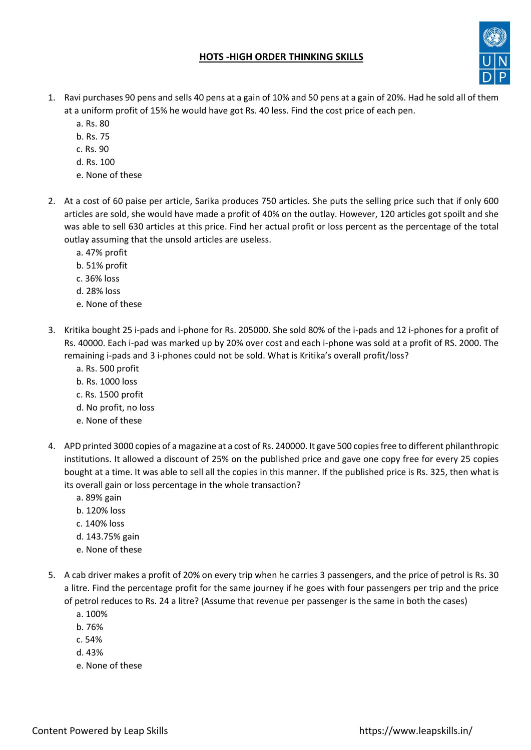# **HOTS -HIGH ORDER THINKING SKILLS**



- 1. Ravi purchases 90 pens and sells 40 pens at a gain of 10% and 50 pens at a gain of 20%. Had he sold all of them at a uniform profit of 15% he would have got Rs. 40 less. Find the cost price of each pen.
	- a. Rs. 80
	- b. Rs. 75
	- c. Rs. 90
	- d. Rs. 100
	- e. None of these
- 2. At a cost of 60 paise per article, Sarika produces 750 articles. She puts the selling price such that if only 600 articles are sold, she would have made a profit of 40% on the outlay. However, 120 articles got spoilt and she was able to sell 630 articles at this price. Find her actual profit or loss percent as the percentage of the total outlay assuming that the unsold articles are useless.
	- a. 47% profit
	- b. 51% profit
	- c. 36% loss
	- d. 28% loss
	- e. None of these
- 3. Kritika bought 25 i-pads and i-phone for Rs. 205000. She sold 80% of the i-pads and 12 i-phones for a profit of Rs. 40000. Each i-pad was marked up by 20% over cost and each i-phone was sold at a profit of RS. 2000. The remaining i-pads and 3 i-phones could not be sold. What is Kritika's overall profit/loss?
	- a. Rs. 500 profit
	- b. Rs. 1000 loss
	- c. Rs. 1500 profit
	- d. No profit, no loss
	- e. None of these
- 4. APD printed 3000 copies of a magazine at a cost of Rs. 240000. It gave 500 copies free to different philanthropic institutions. It allowed a discount of 25% on the published price and gave one copy free for every 25 copies bought at a time. It was able to sell all the copies in this manner. If the published price is Rs. 325, then what is its overall gain or loss percentage in the whole transaction?
	- a. 89% gain
	- b. 120% loss
	- c. 140% loss
	- d. 143.75% gain
	- e. None of these
- 5. A cab driver makes a profit of 20% on every trip when he carries 3 passengers, and the price of petrol is Rs. 30 a litre. Find the percentage profit for the same journey if he goes with four passengers per trip and the price of petrol reduces to Rs. 24 a litre? (Assume that revenue per passenger is the same in both the cases)
	- a. 100%
	- b. 76%
	- c. 54%
	- d. 43%
	- e. None of these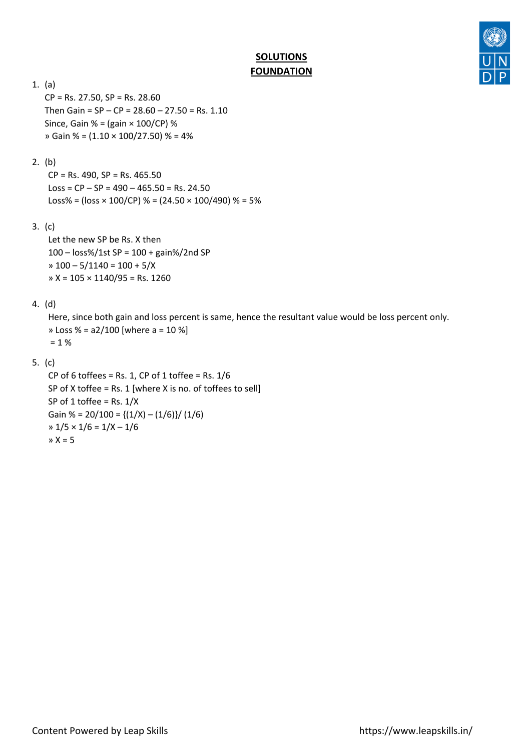# **SOLUTIONS FOUNDATION**



1. (a) CP = Rs. 27.50, SP = Rs. 28.60 Then Gain =  $SP - CP = 28.60 - 27.50 = Rs. 1.10$ Since, Gain  $% = (gain \times 100/CP)$  % » Gain % =  $(1.10 \times 100/27.50)$  % = 4%

#### 2. (b)

CP = Rs. 490, SP = Rs. 465.50  $Loss = CP - SP = 490 - 465.50 = Rs. 24.50$ Loss% = (loss  $\times$  100/CP) % = (24.50  $\times$  100/490) % = 5%

#### 3. (c)

Let the new SP be Rs. X then 100 – loss%/1st SP = 100 + gain%/2nd SP » 100 – 5/1140 = 100 + 5/X  $\alpha$  X = 105  $\times$  1140/95 = Rs. 1260

#### 4. (d)

Here, since both gain and loss percent is same, hence the resultant value would be loss percent only. » Loss % = a2/100 [where a = 10 %]  $= 1 \%$ 

#### 5. (c)

CP of 6 toffees = Rs. 1, CP of 1 toffee = Rs.  $1/6$ SP of X toffee = Rs. 1 [where X is no. of toffees to sell] SP of 1 toffee = Rs. 1/X Gain % =  $20/100 = \{(1/X) - (1/6)\}/(1/6)$ » 1/5 × 1/6 = 1/X – 1/6 » X = 5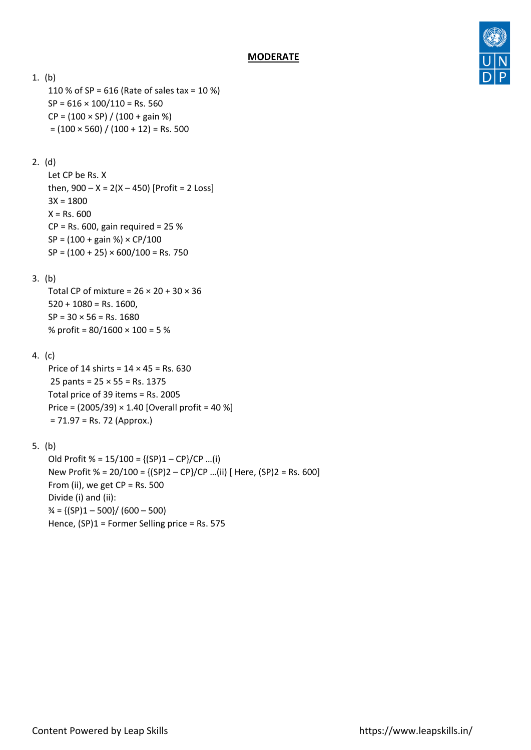

#### **MODERATE**

#### 1. (b)

110 % of SP = 616 (Rate of sales tax = 10 %)  $SP = 616 \times 100/110 = Rs. 560$  $CP = (100 \times SP) / (100 + gain %)$  $= (100 \times 560) / (100 + 12) =$ Rs. 500

#### 2. (d)

Let CP be Rs. X then,  $900 - X = 2(X - 450)$  [Profit = 2 Loss]  $3X = 1800$  $X = Rs. 600$  $CP = Rs. 600$ , gain required = 25 %  $SP = (100 + gain %) \times CP/100$  $SP = (100 + 25) \times 600/100 = Rs. 750$ 

# 3. (b)

Total CP of mixture =  $26 \times 20 + 30 \times 36$  $520 + 1080 =$  Rs. 1600,  $SP = 30 \times 56 = Rs. 1680$ % profit = 80/1600 × 100 = 5 %

#### 4. (c)

Price of 14 shirts =  $14 \times 45$  = Rs. 630 25 pants = 25 × 55 = Rs. 1375 Total price of 39 items = Rs. 2005 Price =  $(2005/39) \times 1.40$  [Overall profit = 40 %] = 71.97 = Rs. 72 (Approx.)

# 5. (b)

Old Profit % = 15/100 = {(SP)1 – CP}/CP …(i) New Profit % = 20/100 = {(SP)2 – CP}/CP …(ii) [ Here, (SP)2 = Rs. 600] From (ii), we get  $CP = Rs. 500$ Divide (i) and (ii):  $\frac{3}{4} = \{ (SP)1 - 500 \} / (600 - 500)$ Hence, (SP)1 = Former Selling price = Rs. 575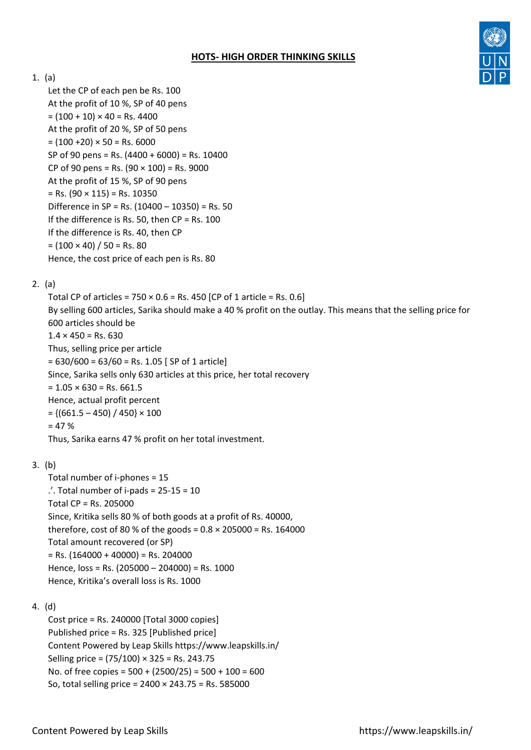# **HOTS- HIGH ORDER THINKING SKILLS**



#### 1. (a)

Let the CP of each pen be Rs. 100 At the profit of 10 %, SP of 40 pens  $= (100 + 10) \times 40 =$  Rs. 4400 At the profit of 20 %, SP of 50 pens  $= (100 + 20) \times 50 =$  Rs. 6000 SP of 90 pens = Rs.  $(4400 + 6000)$  = Rs. 10400 CP of 90 pens = Rs.  $(90 \times 100)$  = Rs. 9000 At the profit of 15 %, SP of 90 pens  $=$  Rs. (90  $\times$  115)  $=$  Rs. 10350 Difference in SP = Rs. (10400 – 10350) = Rs. 50 If the difference is Rs. 50, then CP = Rs. 100 If the difference is Rs. 40, then CP  $= (100 \times 40) / 50 =$  Rs. 80 Hence, the cost price of each pen is Rs. 80

# 2. (a)

Total CP of articles =  $750 \times 0.6$  = Rs. 450 [CP of 1 article = Rs. 0.6] By selling 600 articles, Sarika should make a 40 % profit on the outlay. This means that the selling price for 600 articles should be  $1.4 \times 450 =$  Rs. 630 Thus, selling price per article  $= 630/600 = 63/60 =$  Rs. 1.05 [SP of 1 article] Since, Sarika sells only 630 articles at this price, her total recovery  $= 1.05 \times 630 =$  Rs. 661.5 Hence, actual profit percent  $=$  {(661.5 – 450) / 450}  $\times$  100  $= 47 \%$ Thus, Sarika earns 47 % profit on her total investment.

#### 3. (b)

Total number of i-phones = 15 .'. Total number of i-pads =  $25-15 = 10$ Total CP = Rs. 205000 Since, Kritika sells 80 % of both goods at a profit of Rs. 40000, therefore, cost of 80 % of the goods =  $0.8 \times 205000 =$  Rs. 164000 Total amount recovered (or SP)  $=$  Rs. (164000 + 40000) = Rs. 204000 Hence, loss = Rs. (205000 – 204000) = Rs. 1000 Hence, Kritika's overall loss is Rs. 1000

#### 4. (d)

Cost price = Rs. 240000 [Total 3000 copies] Published price = Rs. 325 [Published price] Content Powered by Leap Skills https://www.leapskills.in/ Selling price = (75/100) × 325 = Rs. 243.75 No. of free copies =  $500 + (2500/25) = 500 + 100 = 600$ So, total selling price = 2400 × 243.75 = Rs. 585000